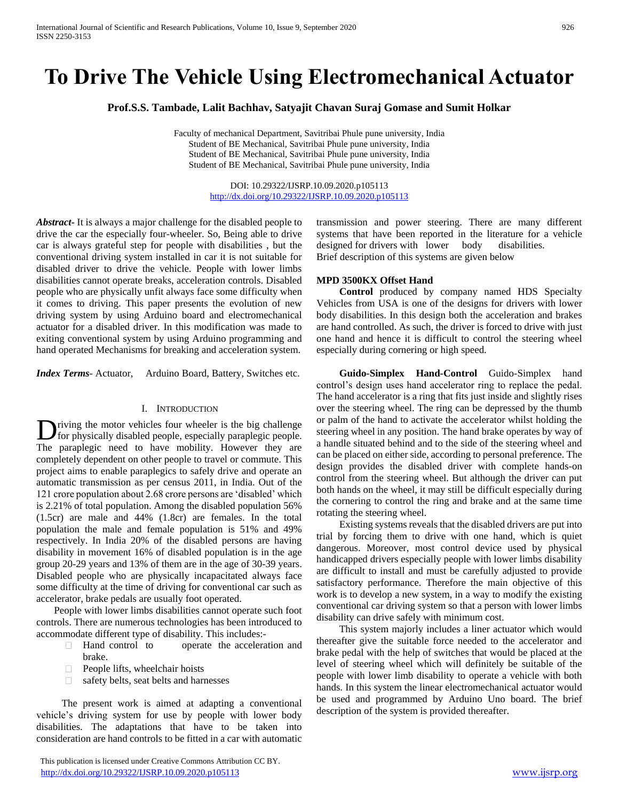# **To Drive The Vehicle Using Electromechanical Actuator**

**Prof.S.S. Tambade, Lalit Bachhav, Satyajit Chavan Suraj Gomase and Sumit Holkar**

Faculty of mechanical Department, Savitribai Phule pune university, India Student of BE Mechanical, Savitribai Phule pune university, India Student of BE Mechanical, Savitribai Phule pune university, India Student of BE Mechanical, Savitribai Phule pune university, India

> DOI: 10.29322/IJSRP.10.09.2020.p105113 <http://dx.doi.org/10.29322/IJSRP.10.09.2020.p105113>

*Abstract***-** It is always a major challenge for the disabled people to drive the car the especially four-wheeler. So, Being able to drive car is always grateful step for people with disabilities , but the conventional driving system installed in car it is not suitable for disabled driver to drive the vehicle. People with lower limbs disabilities cannot operate breaks, acceleration controls. Disabled people who are physically unfit always face some difficulty when it comes to driving. This paper presents the evolution of new driving system by using Arduino board and electromechanical actuator for a disabled driver. In this modification was made to exiting conventional system by using Arduino programming and hand operated Mechanisms for breaking and acceleration system.

*Index Terms*- Actuator, Arduino Board, Battery, Switches etc.

#### I. INTRODUCTION

riving the motor vehicles four wheeler is the big challenge for physically disabled people, especially paraplegic people. The paraplegic need to have mobility. However they are completely dependent on other people to travel or commute. This project aims to enable paraplegics to safely drive and operate an automatic transmission as per census 2011, in India. Out of the 121 crore population about 2.68 crore persons are 'disabled' which is 2.21% of total population. Among the disabled population 56% (1.5cr) are male and 44% (1.8cr) are females. In the total population the male and female population is 51% and 49% respectively. In India 20% of the disabled persons are having disability in movement 16% of disabled population is in the age group 20-29 years and 13% of them are in the age of 30-39 years. Disabled people who are physically incapacitated always face some difficulty at the time of driving for conventional car such as accelerator, brake pedals are usually foot operated.  $\overline{\mathbf{D}}$ 

 People with lower limbs disabilities cannot operate such foot controls. There are numerous technologies has been introduced to accommodate different type of disability. This includes:-

- □ Hand control to operate the acceleration and brake.
- People lifts, wheelchair hoists  $\Box$
- $\Box$ safety belts, seat belts and harnesses

 The present work is aimed at adapting a conventional vehicle's driving system for use by people with lower body disabilities. The adaptations that have to be taken into consideration are hand controls to be fitted in a car with automatic

transmission and power steering. There are many different systems that have been reported in the literature for a vehicle designed for drivers with lower body disabilities. Brief description of this systems are given below

#### **MPD 3500KX Offset Hand**

 **Control** produced by company named HDS Specialty Vehicles from USA is one of the designs for drivers with lower body disabilities. In this design both the acceleration and brakes are hand controlled. As such, the driver is forced to drive with just one hand and hence it is difficult to control the steering wheel especially during cornering or high speed.

 **Guido-Simplex Hand-Control** Guido-Simplex hand control's design uses hand accelerator ring to replace the pedal. The hand accelerator is a ring that fits just inside and slightly rises over the steering wheel. The ring can be depressed by the thumb or palm of the hand to activate the accelerator whilst holding the steering wheel in any position. The hand brake operates by way of a handle situated behind and to the side of the steering wheel and can be placed on either side, according to personal preference. The design provides the disabled driver with complete hands-on control from the steering wheel. But although the driver can put both hands on the wheel, it may still be difficult especially during the cornering to control the ring and brake and at the same time rotating the steering wheel.

Existing systems reveals that the disabled drivers are put into trial by forcing them to drive with one hand, which is quiet dangerous. Moreover, most control device used by physical handicapped drivers especially people with lower limbs disability are difficult to install and must be carefully adjusted to provide satisfactory performance. Therefore the main objective of this work is to develop a new system, in a way to modify the existing conventional car driving system so that a person with lower limbs disability can drive safely with minimum cost.

This system majorly includes a liner actuator which would thereafter give the suitable force needed to the accelerator and brake pedal with the help of switches that would be placed at the level of steering wheel which will definitely be suitable of the people with lower limb disability to operate a vehicle with both hands. In this system the linear electromechanical actuator would be used and programmed by Arduino Uno board. The brief description of the system is provided thereafter.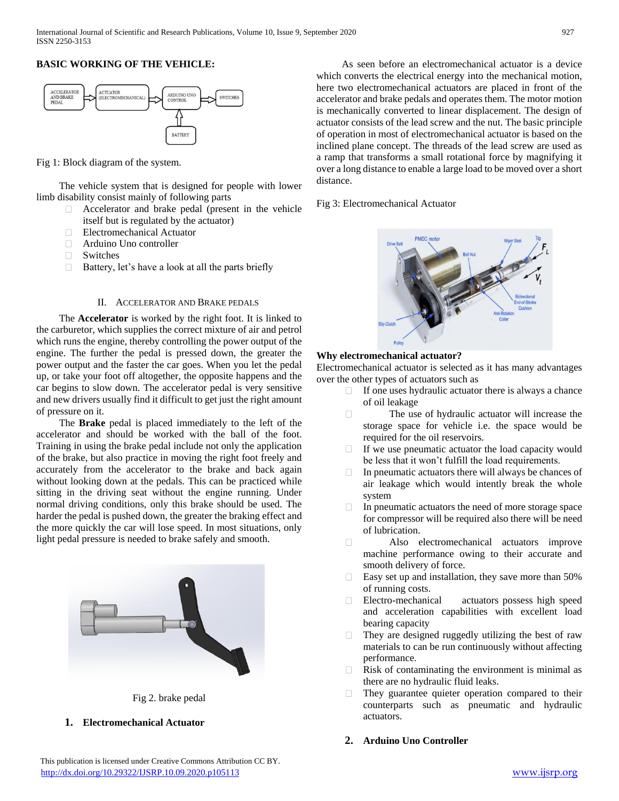# **BASIC WORKING OF THE VEHICLE:**



Fig 1: Block diagram of the system.

The vehicle system that is designed for people with lower limb disability consist mainly of following parts

- Accelerator and brake pedal (present in the vehicle  $\Box$ itself but is regulated by the actuator)
- Electromechanical Actuator  $\Box$
- $\Box$ Arduino Uno controller
- $\Box$ Switches
- $\Box$  Battery, let's have a look at all the parts briefly

#### II. ACCELERATOR AND BRAKE PEDALS

The **Accelerator** is worked by the right foot. It is linked to the carburetor, which supplies the correct mixture of air and petrol which runs the engine, thereby controlling the power output of the engine. The further the pedal is pressed down, the greater the power output and the faster the car goes. When you let the pedal up, or take your foot off altogether, the opposite happens and the car begins to slow down. The accelerator pedal is very sensitive and new drivers usually find it difficult to get just the right amount of pressure on it.

The **Brake** pedal is placed immediately to the left of the accelerator and should be worked with the ball of the foot. Training in using the brake pedal include not only the application of the brake, but also practice in moving the right foot freely and accurately from the accelerator to the brake and back again without looking down at the pedals. This can be practiced while sitting in the driving seat without the engine running. Under normal driving conditions, only this brake should be used. The harder the pedal is pushed down, the greater the braking effect and the more quickly the car will lose speed. In most situations, only light pedal pressure is needed to brake safely and smooth.





**1. Electromechanical Actuator**

 As seen before an electromechanical actuator is a device which converts the electrical energy into the mechanical motion, here two electromechanical actuators are placed in front of the accelerator and brake pedals and operates them. The motor motion is mechanically converted to linear displacement. The design of actuator consists of the lead screw and the nut. The basic principle of operation in most of electromechanical actuator is based on the inclined plane concept. The threads of the lead screw are used as a ramp that transforms a small rotational force by magnifying it over a long distance to enable a large load to be moved over a short distance.

Fig 3: Electromechanical Actuator



### **Why electromechanical actuator?**

Electromechanical actuator is selected as it has many advantages over the other types of actuators such as

- If one uses hydraulic actuator there is always a chance  $\Box$ of oil leakage
- The use of hydraulic actuator will increase the  $\Box$ storage space for vehicle i.e. the space would be required for the oil reservoirs.
- If we use pneumatic actuator the load capacity would  $\Box$ be less that it won't fulfill the load requirements.
- П. In pneumatic actuators there will always be chances of air leakage which would intently break the whole system
- In pneumatic actuators the need of more storage space for compressor will be required also there will be need of lubrication.
- $\Box$ Also electromechanical actuators improve machine performance owing to their accurate and smooth delivery of force.
- $\Box$ Easy set up and installation, they save more than 50% of running costs.
- $\Box$ Electro-mechanical actuators possess high speed and acceleration capabilities with excellent load bearing capacity
- They are designed ruggedly utilizing the best of raw materials to can be run continuously without affecting performance.
- Risk of contaminating the environment is minimal as  $\Box$ there are no hydraulic fluid leaks.
- $\Box$ They guarantee quieter operation compared to their counterparts such as pneumatic and hydraulic actuators.
- **2. Arduino Uno Controller**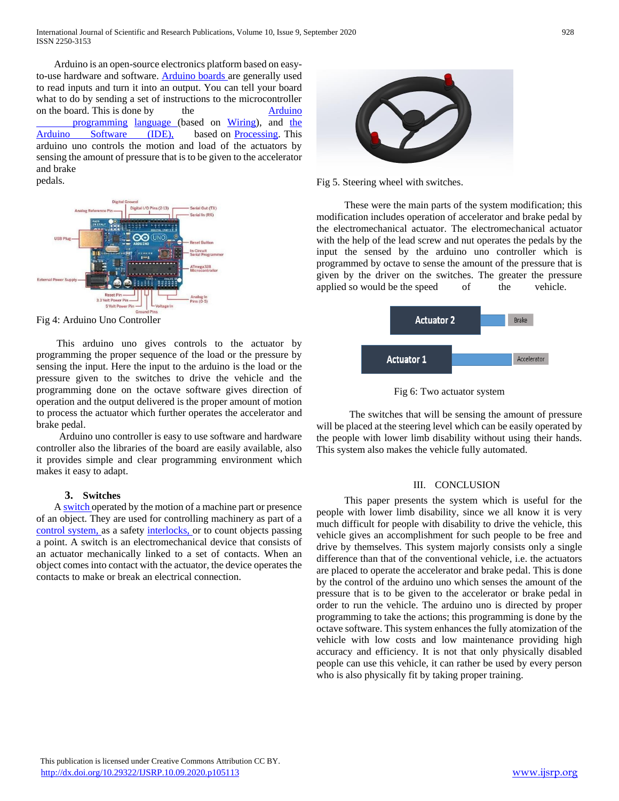Arduino is an open-source electronics platform based on easyto-use hardware and software. [Arduino boards a](https://www.arduino.cc/en/Main/Products)re generally used to read inputs and turn it into an output. You can tell your board what to do by sending a set of instructions to the microcontroller on the board. This is done by the [Arduino](https://www.arduino.cc/en/Reference/HomePage) [programming](https://www.arduino.cc/en/Reference/HomePage) [language \(](https://www.arduino.cc/en/Reference/HomePage)based on [Wiring\)](http://wiring.org.co/), and [the](https://www.arduino.cc/en/Main/Software) [Arduino Software \(IDE\),](https://www.arduino.cc/en/Main/Software) based on [Processing.](https://processing.org/) This arduino uno controls the motion and load of the actuators by sensing the amount of pressure that is to be given to the accelerator and brake pedals.



Fig 4: Arduino Uno Controller

 This arduino uno gives controls to the actuator by programming the proper sequence of the load or the pressure by sensing the input. Here the input to the arduino is the load or the pressure given to the switches to drive the vehicle and the programming done on the octave software gives direction of operation and the output delivered is the proper amount of motion to process the actuator which further operates the accelerator and brake pedal.

 Arduino uno controller is easy to use software and hardware controller also the libraries of the board are easily available, also it provides simple and clear programming environment which makes it easy to adapt.

## **3. Switches**

 [A switch o](https://en.wikipedia.org/wiki/Switch)perated by the motion of a machine part or presence of an object. They are used for controlling machinery as part of a [control system, a](https://en.wikipedia.org/wiki/Control_system)s a safety [interlocks, o](https://en.wikipedia.org/wiki/Interlock_(engineering))r to count objects passing a point. A switch is an electromechanical device that consists of an actuator mechanically linked to a set of contacts. When an object comes into contact with the actuator, the device operates the contacts to make or break an electrical connection.



Fig 5. Steering wheel with switches.

 These were the main parts of the system modification; this modification includes operation of accelerator and brake pedal by the electromechanical actuator. The electromechanical actuator with the help of the lead screw and nut operates the pedals by the input the sensed by the arduino uno controller which is programmed by octave to sense the amount of the pressure that is given by the driver on the switches. The greater the pressure applied so would be the speed of the vehicle.



Fig 6: Two actuator system

 The switches that will be sensing the amount of pressure will be placed at the steering level which can be easily operated by the people with lower limb disability without using their hands. This system also makes the vehicle fully automated.

### III. CONCLUSION

 This paper presents the system which is useful for the people with lower limb disability, since we all know it is very much difficult for people with disability to drive the vehicle, this vehicle gives an accomplishment for such people to be free and drive by themselves. This system majorly consists only a single difference than that of the conventional vehicle, i.e. the actuators are placed to operate the accelerator and brake pedal. This is done by the control of the arduino uno which senses the amount of the pressure that is to be given to the accelerator or brake pedal in order to run the vehicle. The arduino uno is directed by proper programming to take the actions; this programming is done by the octave software. This system enhances the fully atomization of the vehicle with low costs and low maintenance providing high accuracy and efficiency. It is not that only physically disabled people can use this vehicle, it can rather be used by every person who is also physically fit by taking proper training.